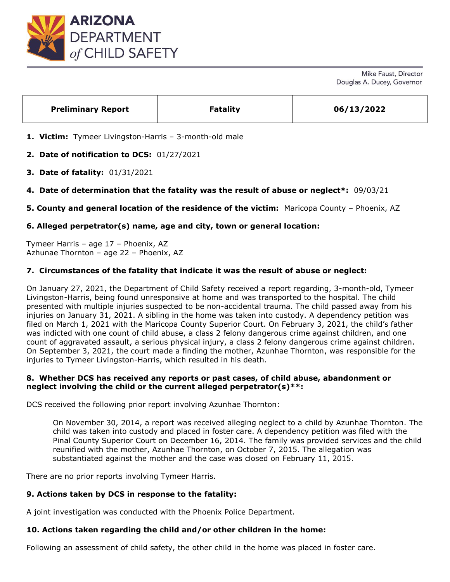

| <b>Preliminary Report</b><br>06/13/2022<br><b>Fatality</b> |  |
|------------------------------------------------------------|--|
|------------------------------------------------------------|--|

**1. Victim:** Tymeer Livingston-Harris – 3-month-old male

**2. Date of notification to DCS:** 01/27/2021

- **3. Date of fatality:** 01/31/2021
- **4. Date of determination that the fatality was the result of abuse or neglect\*:** 09/03/21
- **5. County and general location of the residence of the victim:** Maricopa County Phoenix, AZ

# **6. Alleged perpetrator(s) name, age and city, town or general location:**

Tymeer Harris – age 17 – Phoenix, AZ Azhunae Thornton – age 22 – Phoenix, AZ

# **7. Circumstances of the fatality that indicate it was the result of abuse or neglect:**

On January 27, 2021, the Department of Child Safety received a report regarding, 3-month-old, Tymeer Livingston-Harris, being found unresponsive at home and was transported to the hospital. The child presented with multiple injuries suspected to be non-accidental trauma. The child passed away from his injuries on January 31, 2021. A sibling in the home was taken into custody. A dependency petition was filed on March 1, 2021 with the Maricopa County Superior Court. On February 3, 2021, the child's father was indicted with one count of child abuse, a class 2 felony dangerous crime against children, and one count of aggravated assault, a serious physical injury, a class 2 felony dangerous crime against children. On September 3, 2021, the court made a finding the mother, Azunhae Thornton, was responsible for the injuries to Tymeer Livingston-Harris, which resulted in his death.

## **8. Whether DCS has received any reports or past cases, of child abuse, abandonment or neglect involving the child or the current alleged perpetrator(s)\*\*:**

DCS received the following prior report involving Azunhae Thornton:

On November 30, 2014, a report was received alleging neglect to a child by Azunhae Thornton. The child was taken into custody and placed in foster care. A dependency petition was filed with the Pinal County Superior Court on December 16, 2014. The family was provided services and the child reunified with the mother, Azunhae Thornton, on October 7, 2015. The allegation was substantiated against the mother and the case was closed on February 11, 2015.

There are no prior reports involving Tymeer Harris.

## **9. Actions taken by DCS in response to the fatality:**

A joint investigation was conducted with the Phoenix Police Department.

## **10. Actions taken regarding the child and/or other children in the home:**

Following an assessment of child safety, the other child in the home was placed in foster care.